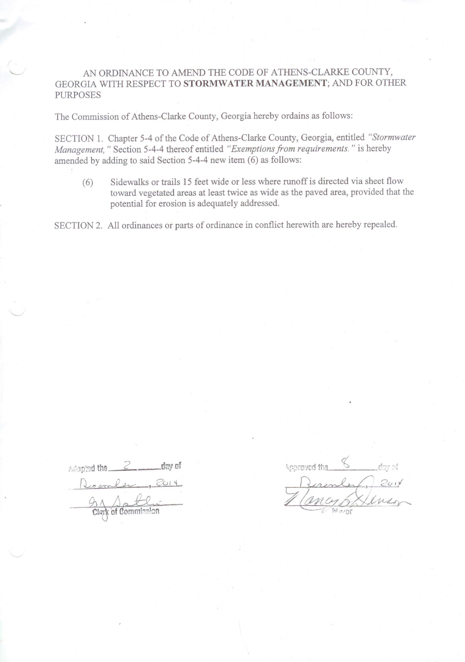# AN ORDINANCE TO AMEND THE CODE OF ATHENS-CLARKE COUNTY, GEORGIA WITH RESPECT TO STORMWATER MANAGEMENT; AND FOR OTHER **PURPOSES**

The Commission of Athens-Clarke County, Georgia hereby ordains as follows:

SECTION 1. Chapter 5-4 of the Code of Athens-Clarke County, Georgia, entitled "Stormwater Management," Section 5-4-4 thereof entitled "Exemptions from requirements." is hereby amended by adding to said Section 5-4-4 new item (6) as follows:

Sidewalks or trails 15 feet wide or less where runoff is directed via sheet flow  $(6)$ toward vegetated areas at least twice as wide as the paved area, provided that the potential for erosion is adequately addressed.

SECTION 2. All ordinances or parts of ordinance in conflict herewith are hereby repealed.

Adapted the day of com Clark of Commi

Approved that De mon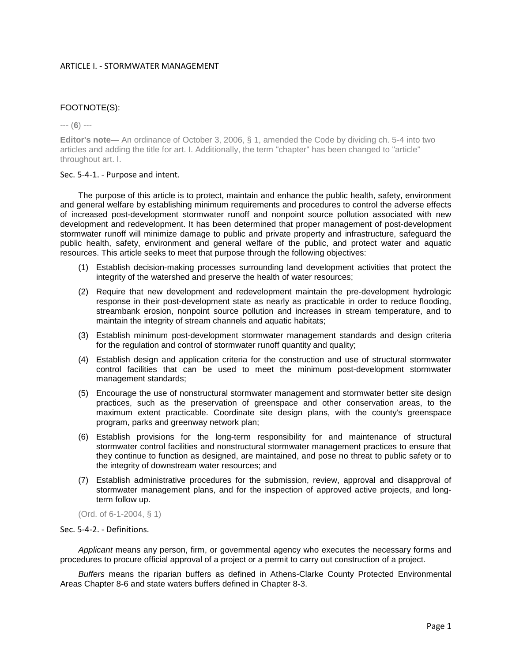# ARTICLE I. - STORMWATER MANAGEMENT

# FOOTNOTE(S):

--- (**6**) ---

**Editor's note—** An ordinance of October 3, 2006, § 1, amended the Code by dividing ch. 5-4 into two articles and adding the title for art. I. Additionally, the term "chapter" has been changed to "article" throughout art. I.

## Sec. 5-4-1. - Purpose and intent.

The purpose of this article is to protect, maintain and enhance the public health, safety, environment and general welfare by establishing minimum requirements and procedures to control the adverse effects of increased post-development stormwater runoff and nonpoint source pollution associated with new development and redevelopment. It has been determined that proper management of post-development stormwater runoff will minimize damage to public and private property and infrastructure, safeguard the public health, safety, environment and general welfare of the public, and protect water and aquatic resources. This article seeks to meet that purpose through the following objectives:

- (1) Establish decision-making processes surrounding land development activities that protect the integrity of the watershed and preserve the health of water resources;
- (2) Require that new development and redevelopment maintain the pre-development hydrologic response in their post-development state as nearly as practicable in order to reduce flooding, streambank erosion, nonpoint source pollution and increases in stream temperature, and to maintain the integrity of stream channels and aquatic habitats;
- (3) Establish minimum post-development stormwater management standards and design criteria for the regulation and control of stormwater runoff quantity and quality;
- (4) Establish design and application criteria for the construction and use of structural stormwater control facilities that can be used to meet the minimum post-development stormwater management standards;
- (5) Encourage the use of nonstructural stormwater management and stormwater better site design practices, such as the preservation of greenspace and other conservation areas, to the maximum extent practicable. Coordinate site design plans, with the county's greenspace program, parks and greenway network plan;
- (6) Establish provisions for the long-term responsibility for and maintenance of structural stormwater control facilities and nonstructural stormwater management practices to ensure that they continue to function as designed, are maintained, and pose no threat to public safety or to the integrity of downstream water resources; and
- (7) Establish administrative procedures for the submission, review, approval and disapproval of stormwater management plans, and for the inspection of approved active projects, and longterm follow up.

(Ord. of 6-1-2004, § 1)

## Sec. 5-4-2. - Definitions.

*Applicant* means any person, firm, or governmental agency who executes the necessary forms and procedures to procure official approval of a project or a permit to carry out construction of a project.

*Buffers* means the riparian buffers as defined in Athens-Clarke County Protected Environmental Areas Chapter 8-6 and state waters buffers defined in Chapter 8-3.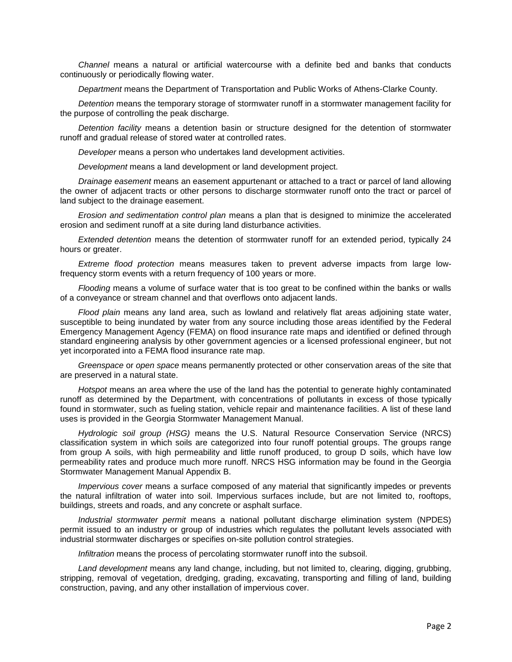*Channel* means a natural or artificial watercourse with a definite bed and banks that conducts continuously or periodically flowing water.

*Department* means the Department of Transportation and Public Works of Athens-Clarke County.

*Detention* means the temporary storage of stormwater runoff in a stormwater management facility for the purpose of controlling the peak discharge.

*Detention facility* means a detention basin or structure designed for the detention of stormwater runoff and gradual release of stored water at controlled rates.

*Developer* means a person who undertakes land development activities.

*Development* means a land development or land development project.

*Drainage easement* means an easement appurtenant or attached to a tract or parcel of land allowing the owner of adjacent tracts or other persons to discharge stormwater runoff onto the tract or parcel of land subject to the drainage easement.

*Erosion and sedimentation control plan* means a plan that is designed to minimize the accelerated erosion and sediment runoff at a site during land disturbance activities.

*Extended detention* means the detention of stormwater runoff for an extended period, typically 24 hours or greater.

*Extreme flood protection* means measures taken to prevent adverse impacts from large lowfrequency storm events with a return frequency of 100 years or more.

*Flooding* means a volume of surface water that is too great to be confined within the banks or walls of a conveyance or stream channel and that overflows onto adjacent lands.

*Flood plain* means any land area, such as lowland and relatively flat areas adjoining state water, susceptible to being inundated by water from any source including those areas identified by the Federal Emergency Management Agency (FEMA) on flood insurance rate maps and identified or defined through standard engineering analysis by other government agencies or a licensed professional engineer, but not yet incorporated into a FEMA flood insurance rate map.

*Greenspace* or *open space* means permanently protected or other conservation areas of the site that are preserved in a natural state.

*Hotspot* means an area where the use of the land has the potential to generate highly contaminated runoff as determined by the Department, with concentrations of pollutants in excess of those typically found in stormwater, such as fueling station, vehicle repair and maintenance facilities. A list of these land uses is provided in the Georgia Stormwater Management Manual.

*Hydrologic soil group (HSG)* means the U.S. Natural Resource Conservation Service (NRCS) classification system in which soils are categorized into four runoff potential groups. The groups range from group A soils, with high permeability and little runoff produced, to group D soils, which have low permeability rates and produce much more runoff. NRCS HSG information may be found in the Georgia Stormwater Management Manual Appendix B.

*Impervious cover* means a surface composed of any material that significantly impedes or prevents the natural infiltration of water into soil. Impervious surfaces include, but are not limited to, rooftops, buildings, streets and roads, and any concrete or asphalt surface.

*Industrial stormwater permit* means a national pollutant discharge elimination system (NPDES) permit issued to an industry or group of industries which regulates the pollutant levels associated with industrial stormwater discharges or specifies on-site pollution control strategies.

*Infiltration* means the process of percolating stormwater runoff into the subsoil.

*Land development* means any land change, including, but not limited to, clearing, digging, grubbing, stripping, removal of vegetation, dredging, grading, excavating, transporting and filling of land, building construction, paving, and any other installation of impervious cover.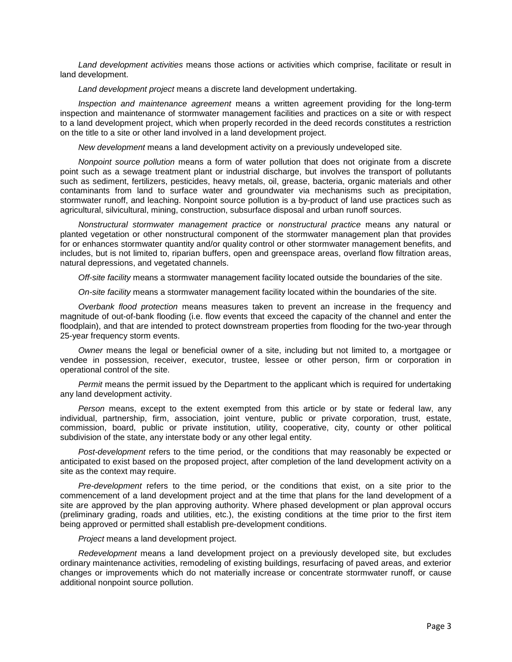*Land development activities* means those actions or activities which comprise, facilitate or result in land development.

*Land development project* means a discrete land development undertaking.

*Inspection and maintenance agreement* means a written agreement providing for the long-term inspection and maintenance of stormwater management facilities and practices on a site or with respect to a land development project, which when properly recorded in the deed records constitutes a restriction on the title to a site or other land involved in a land development project.

*New development* means a land development activity on a previously undeveloped site.

*Nonpoint source pollution* means a form of water pollution that does not originate from a discrete point such as a sewage treatment plant or industrial discharge, but involves the transport of pollutants such as sediment, fertilizers, pesticides, heavy metals, oil, grease, bacteria, organic materials and other contaminants from land to surface water and groundwater via mechanisms such as precipitation, stormwater runoff, and leaching. Nonpoint source pollution is a by-product of land use practices such as agricultural, silvicultural, mining, construction, subsurface disposal and urban runoff sources.

*Nonstructural stormwater management practice* or *nonstructural practice* means any natural or planted vegetation or other nonstructural component of the stormwater management plan that provides for or enhances stormwater quantity and/or quality control or other stormwater management benefits, and includes, but is not limited to, riparian buffers, open and greenspace areas, overland flow filtration areas, natural depressions, and vegetated channels.

*Off-site facility* means a stormwater management facility located outside the boundaries of the site.

*On-site facility* means a stormwater management facility located within the boundaries of the site.

*Overbank flood protection* means measures taken to prevent an increase in the frequency and magnitude of out-of-bank flooding (i.e. flow events that exceed the capacity of the channel and enter the floodplain), and that are intended to protect downstream properties from flooding for the two-year through 25-year frequency storm events.

*Owner* means the legal or beneficial owner of a site, including but not limited to, a mortgagee or vendee in possession, receiver, executor, trustee, lessee or other person, firm or corporation in operational control of the site.

*Permit* means the permit issued by the Department to the applicant which is required for undertaking any land development activity.

*Person* means, except to the extent exempted from this article or by state or federal law, any individual, partnership, firm, association, joint venture, public or private corporation, trust, estate, commission, board, public or private institution, utility, cooperative, city, county or other political subdivision of the state, any interstate body or any other legal entity.

*Post-development* refers to the time period, or the conditions that may reasonably be expected or anticipated to exist based on the proposed project, after completion of the land development activity on a site as the context may require.

*Pre-development* refers to the time period, or the conditions that exist, on a site prior to the commencement of a land development project and at the time that plans for the land development of a site are approved by the plan approving authority. Where phased development or plan approval occurs (preliminary grading, roads and utilities, etc.), the existing conditions at the time prior to the first item being approved or permitted shall establish pre-development conditions.

*Project* means a land development project.

*Redevelopment* means a land development project on a previously developed site, but excludes ordinary maintenance activities, remodeling of existing buildings, resurfacing of paved areas, and exterior changes or improvements which do not materially increase or concentrate stormwater runoff, or cause additional nonpoint source pollution.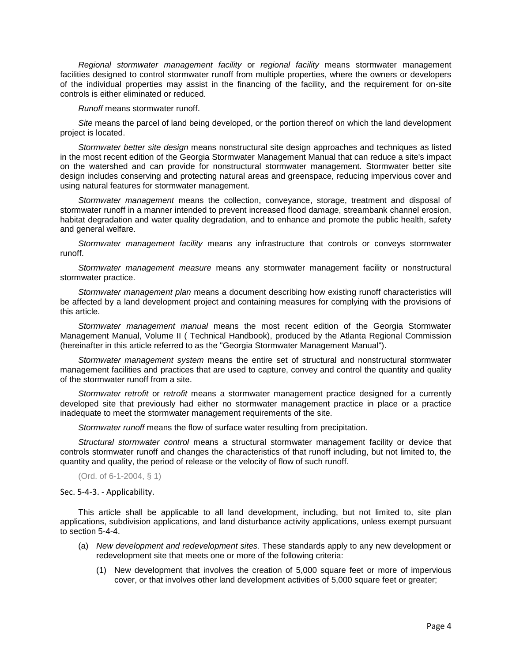*Regional stormwater management facility* or *regional facility* means stormwater management facilities designed to control stormwater runoff from multiple properties, where the owners or developers of the individual properties may assist in the financing of the facility, and the requirement for on-site controls is either eliminated or reduced.

*Runoff* means stormwater runoff.

*Site* means the parcel of land being developed, or the portion thereof on which the land development project is located.

*Stormwater better site design* means nonstructural site design approaches and techniques as listed in the most recent edition of the Georgia Stormwater Management Manual that can reduce a site's impact on the watershed and can provide for nonstructural stormwater management. Stormwater better site design includes conserving and protecting natural areas and greenspace, reducing impervious cover and using natural features for stormwater management.

*Stormwater management* means the collection, conveyance, storage, treatment and disposal of stormwater runoff in a manner intended to prevent increased flood damage, streambank channel erosion, habitat degradation and water quality degradation, and to enhance and promote the public health, safety and general welfare.

*Stormwater management facility* means any infrastructure that controls or conveys stormwater runoff.

*Stormwater management measure* means any stormwater management facility or nonstructural stormwater practice.

*Stormwater management plan* means a document describing how existing runoff characteristics will be affected by a land development project and containing measures for complying with the provisions of this article.

*Stormwater management manual* means the most recent edition of the Georgia Stormwater Management Manual, Volume II ( Technical Handbook), produced by the Atlanta Regional Commission (hereinafter in this article referred to as the "Georgia Stormwater Management Manual").

*Stormwater management system* means the entire set of structural and nonstructural stormwater management facilities and practices that are used to capture, convey and control the quantity and quality of the stormwater runoff from a site.

*Stormwater retrofit* or *retrofit* means a stormwater management practice designed for a currently developed site that previously had either no stormwater management practice in place or a practice inadequate to meet the stormwater management requirements of the site.

*Stormwater runoff* means the flow of surface water resulting from precipitation.

*Structural stormwater control* means a structural stormwater management facility or device that controls stormwater runoff and changes the characteristics of that runoff including, but not limited to, the quantity and quality, the period of release or the velocity of flow of such runoff.

(Ord. of 6-1-2004, § 1)

Sec. 5-4-3. - Applicability.

This article shall be applicable to all land development, including, but not limited to, site plan applications, subdivision applications, and land disturbance activity applications, unless exempt pursuant to section 5-4-4.

- (a) *New development and redevelopment sites.* These standards apply to any new development or redevelopment site that meets one or more of the following criteria:
	- (1) New development that involves the creation of 5,000 square feet or more of impervious cover, or that involves other land development activities of 5,000 square feet or greater;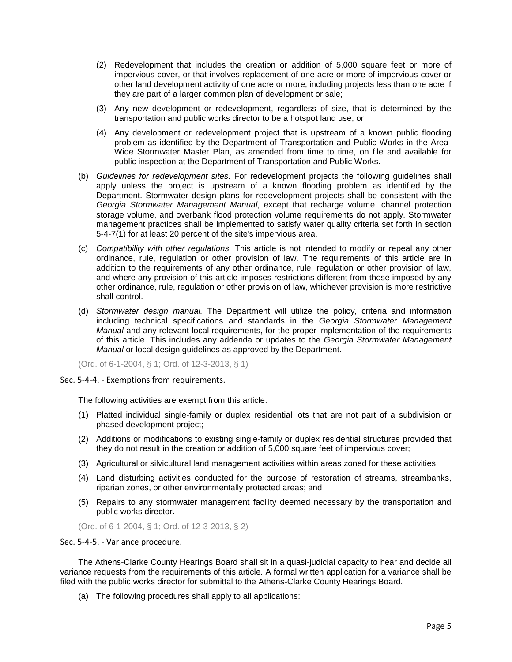- (2) Redevelopment that includes the creation or addition of 5,000 square feet or more of impervious cover, or that involves replacement of one acre or more of impervious cover or other land development activity of one acre or more, including projects less than one acre if they are part of a larger common plan of development or sale;
- (3) Any new development or redevelopment, regardless of size, that is determined by the transportation and public works director to be a hotspot land use; or
- (4) Any development or redevelopment project that is upstream of a known public flooding problem as identified by the Department of Transportation and Public Works in the Area-Wide Stormwater Master Plan, as amended from time to time, on file and available for public inspection at the Department of Transportation and Public Works.
- (b) *Guidelines for redevelopment sites.* For redevelopment projects the following guidelines shall apply unless the project is upstream of a known flooding problem as identified by the Department. Stormwater design plans for redevelopment projects shall be consistent with the *Georgia Stormwater Management Manual*, except that recharge volume, channel protection storage volume, and overbank flood protection volume requirements do not apply. Stormwater management practices shall be implemented to satisfy water quality criteria set forth in section 5-4-7(1) for at least 20 percent of the site's impervious area.
- (c) *Compatibility with other regulations.* This article is not intended to modify or repeal any other ordinance, rule, regulation or other provision of law. The requirements of this article are in addition to the requirements of any other ordinance, rule, regulation or other provision of law, and where any provision of this article imposes restrictions different from those imposed by any other ordinance, rule, regulation or other provision of law, whichever provision is more restrictive shall control.
- (d) *Stormwater design manual.* The Department will utilize the policy, criteria and information including technical specifications and standards in the *Georgia Stormwater Management Manual* and any relevant local requirements, for the proper implementation of the requirements of this article. This includes any addenda or updates to the *Georgia Stormwater Management Manual* or local design guidelines as approved by the Department.

(Ord. of 6-1-2004, § 1; Ord. of 12-3-2013, § 1)

Sec. 5-4-4. - Exemptions from requirements.

The following activities are exempt from this article:

- (1) Platted individual single-family or duplex residential lots that are not part of a subdivision or phased development project;
- (2) Additions or modifications to existing single-family or duplex residential structures provided that they do not result in the creation or addition of 5,000 square feet of impervious cover;
- (3) Agricultural or silvicultural land management activities within areas zoned for these activities;
- (4) Land disturbing activities conducted for the purpose of restoration of streams, streambanks, riparian zones, or other environmentally protected areas; and
- (5) Repairs to any stormwater management facility deemed necessary by the transportation and public works director.

(Ord. of 6-1-2004, § 1; Ord. of 12-3-2013, § 2)

Sec. 5-4-5. - Variance procedure.

The Athens-Clarke County Hearings Board shall sit in a quasi-judicial capacity to hear and decide all variance requests from the requirements of this article. A formal written application for a variance shall be filed with the public works director for submittal to the Athens-Clarke County Hearings Board.

(a) The following procedures shall apply to all applications: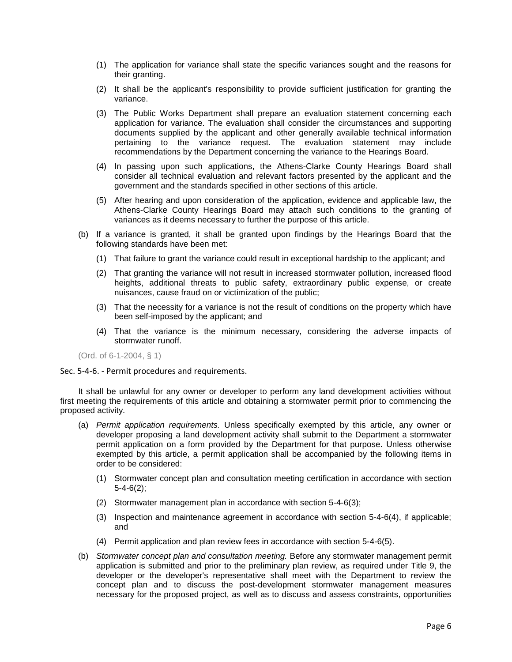- (1) The application for variance shall state the specific variances sought and the reasons for their granting.
- (2) It shall be the applicant's responsibility to provide sufficient justification for granting the variance.
- (3) The Public Works Department shall prepare an evaluation statement concerning each application for variance. The evaluation shall consider the circumstances and supporting documents supplied by the applicant and other generally available technical information pertaining to the variance request. The evaluation statement may include recommendations by the Department concerning the variance to the Hearings Board.
- (4) In passing upon such applications, the Athens-Clarke County Hearings Board shall consider all technical evaluation and relevant factors presented by the applicant and the government and the standards specified in other sections of this article.
- (5) After hearing and upon consideration of the application, evidence and applicable law, the Athens-Clarke County Hearings Board may attach such conditions to the granting of variances as it deems necessary to further the purpose of this article.
- (b) If a variance is granted, it shall be granted upon findings by the Hearings Board that the following standards have been met:
	- (1) That failure to grant the variance could result in exceptional hardship to the applicant; and
	- (2) That granting the variance will not result in increased stormwater pollution, increased flood heights, additional threats to public safety, extraordinary public expense, or create nuisances, cause fraud on or victimization of the public;
	- (3) That the necessity for a variance is not the result of conditions on the property which have been self-imposed by the applicant; and
	- (4) That the variance is the minimum necessary, considering the adverse impacts of stormwater runoff.

(Ord. of 6-1-2004, § 1)

## Sec. 5-4-6. - Permit procedures and requirements.

It shall be unlawful for any owner or developer to perform any land development activities without first meeting the requirements of this article and obtaining a stormwater permit prior to commencing the proposed activity.

- (a) *Permit application requirements.* Unless specifically exempted by this article, any owner or developer proposing a land development activity shall submit to the Department a stormwater permit application on a form provided by the Department for that purpose. Unless otherwise exempted by this article, a permit application shall be accompanied by the following items in order to be considered:
	- (1) Stormwater concept plan and consultation meeting certification in accordance with section 5-4-6(2);
	- (2) Stormwater management plan in accordance with section 5-4-6(3);
	- (3) Inspection and maintenance agreement in accordance with section 5-4-6(4), if applicable; and
	- (4) Permit application and plan review fees in accordance with section 5-4-6(5).
- (b) *Stormwater concept plan and consultation meeting.* Before any stormwater management permit application is submitted and prior to the preliminary plan review, as required under Title 9, the developer or the developer's representative shall meet with the Department to review the concept plan and to discuss the post-development stormwater management measures necessary for the proposed project, as well as to discuss and assess constraints, opportunities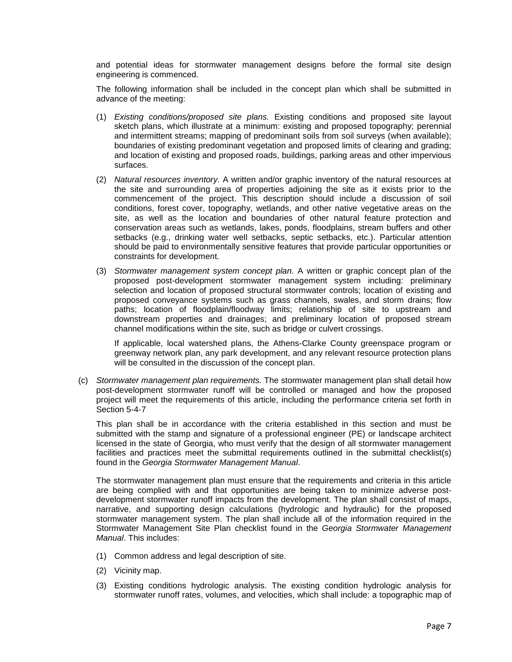and potential ideas for stormwater management designs before the formal site design engineering is commenced.

The following information shall be included in the concept plan which shall be submitted in advance of the meeting:

- (1) *Existing conditions/proposed site plans.* Existing conditions and proposed site layout sketch plans, which illustrate at a minimum: existing and proposed topography; perennial and intermittent streams; mapping of predominant soils from soil surveys (when available); boundaries of existing predominant vegetation and proposed limits of clearing and grading; and location of existing and proposed roads, buildings, parking areas and other impervious surfaces.
- (2) *Natural resources inventory.* A written and/or graphic inventory of the natural resources at the site and surrounding area of properties adjoining the site as it exists prior to the commencement of the project. This description should include a discussion of soil conditions, forest cover, topography, wetlands, and other native vegetative areas on the site, as well as the location and boundaries of other natural feature protection and conservation areas such as wetlands, lakes, ponds, floodplains, stream buffers and other setbacks (e.g., drinking water well setbacks, septic setbacks, etc.). Particular attention should be paid to environmentally sensitive features that provide particular opportunities or constraints for development.
- (3) *Stormwater management system concept plan.* A written or graphic concept plan of the proposed post-development stormwater management system including: preliminary selection and location of proposed structural stormwater controls; location of existing and proposed conveyance systems such as grass channels, swales, and storm drains; flow paths; location of floodplain/floodway limits; relationship of site to upstream and downstream properties and drainages; and preliminary location of proposed stream channel modifications within the site, such as bridge or culvert crossings.

If applicable, local watershed plans, the Athens-Clarke County greenspace program or greenway network plan, any park development, and any relevant resource protection plans will be consulted in the discussion of the concept plan.

(c) *Stormwater management plan requirements.* The stormwater management plan shall detail how post-development stormwater runoff will be controlled or managed and how the proposed project will meet the requirements of this article, including the performance criteria set forth in Section 5-4-7

This plan shall be in accordance with the criteria established in this section and must be submitted with the stamp and signature of a professional engineer (PE) or landscape architect licensed in the state of Georgia, who must verify that the design of all stormwater management facilities and practices meet the submittal requirements outlined in the submittal checklist(s) found in the *Georgia Stormwater Management Manual*.

The stormwater management plan must ensure that the requirements and criteria in this article are being complied with and that opportunities are being taken to minimize adverse postdevelopment stormwater runoff impacts from the development. The plan shall consist of maps, narrative, and supporting design calculations (hydrologic and hydraulic) for the proposed stormwater management system. The plan shall include all of the information required in the Stormwater Management Site Plan checklist found in the *Georgia Stormwater Management Manual*. This includes:

- (1) Common address and legal description of site.
- (2) Vicinity map.
- (3) Existing conditions hydrologic analysis. The existing condition hydrologic analysis for stormwater runoff rates, volumes, and velocities, which shall include: a topographic map of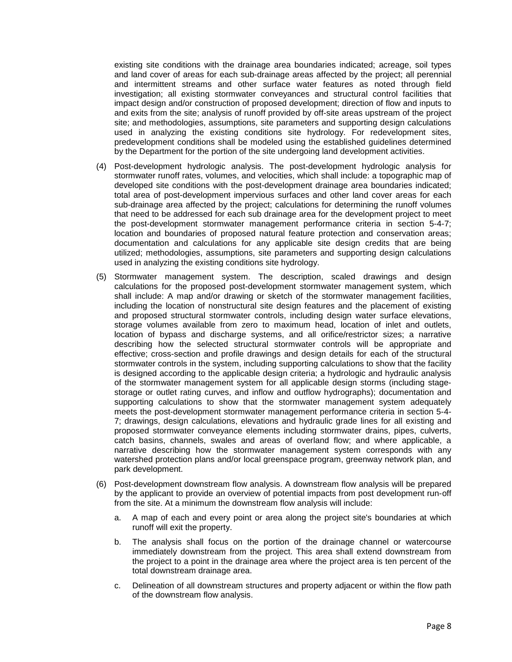existing site conditions with the drainage area boundaries indicated; acreage, soil types and land cover of areas for each sub-drainage areas affected by the project; all perennial and intermittent streams and other surface water features as noted through field investigation; all existing stormwater conveyances and structural control facilities that impact design and/or construction of proposed development; direction of flow and inputs to and exits from the site; analysis of runoff provided by off-site areas upstream of the project site; and methodologies, assumptions, site parameters and supporting design calculations used in analyzing the existing conditions site hydrology. For redevelopment sites, predevelopment conditions shall be modeled using the established guidelines determined by the Department for the portion of the site undergoing land development activities.

- (4) Post-development hydrologic analysis. The post-development hydrologic analysis for stormwater runoff rates, volumes, and velocities, which shall include: a topographic map of developed site conditions with the post-development drainage area boundaries indicated; total area of post-development impervious surfaces and other land cover areas for each sub-drainage area affected by the project; calculations for determining the runoff volumes that need to be addressed for each sub drainage area for the development project to meet the post-development stormwater management performance criteria in section 5-4-7; location and boundaries of proposed natural feature protection and conservation areas; documentation and calculations for any applicable site design credits that are being utilized; methodologies, assumptions, site parameters and supporting design calculations used in analyzing the existing conditions site hydrology.
- (5) Stormwater management system. The description, scaled drawings and design calculations for the proposed post-development stormwater management system, which shall include: A map and/or drawing or sketch of the stormwater management facilities, including the location of nonstructural site design features and the placement of existing and proposed structural stormwater controls, including design water surface elevations, storage volumes available from zero to maximum head, location of inlet and outlets, location of bypass and discharge systems, and all orifice/restrictor sizes; a narrative describing how the selected structural stormwater controls will be appropriate and effective; cross-section and profile drawings and design details for each of the structural stormwater controls in the system, including supporting calculations to show that the facility is designed according to the applicable design criteria; a hydrologic and hydraulic analysis of the stormwater management system for all applicable design storms (including stagestorage or outlet rating curves, and inflow and outflow hydrographs); documentation and supporting calculations to show that the stormwater management system adequately meets the post-development stormwater management performance criteria in section 5-4- 7; drawings, design calculations, elevations and hydraulic grade lines for all existing and proposed stormwater conveyance elements including stormwater drains, pipes, culverts, catch basins, channels, swales and areas of overland flow; and where applicable, a narrative describing how the stormwater management system corresponds with any watershed protection plans and/or local greenspace program, greenway network plan, and park development.
- (6) Post-development downstream flow analysis. A downstream flow analysis will be prepared by the applicant to provide an overview of potential impacts from post development run-off from the site. At a minimum the downstream flow analysis will include:
	- a. A map of each and every point or area along the project site's boundaries at which runoff will exit the property.
	- b. The analysis shall focus on the portion of the drainage channel or watercourse immediately downstream from the project. This area shall extend downstream from the project to a point in the drainage area where the project area is ten percent of the total downstream drainage area.
	- c. Delineation of all downstream structures and property adjacent or within the flow path of the downstream flow analysis.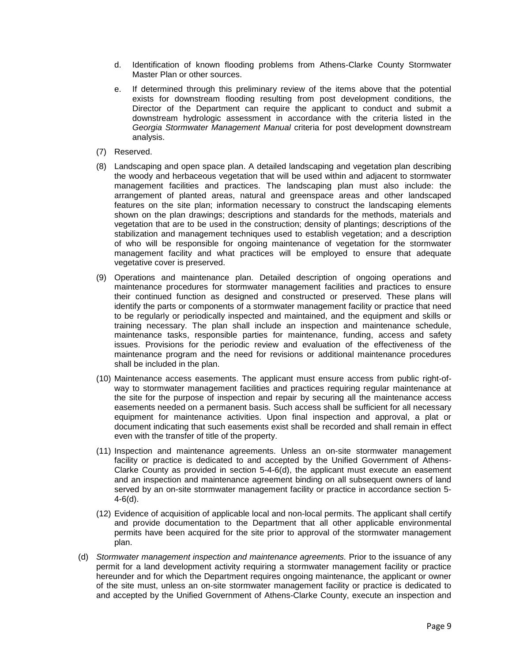- d. Identification of known flooding problems from Athens-Clarke County Stormwater Master Plan or other sources.
- e. If determined through this preliminary review of the items above that the potential exists for downstream flooding resulting from post development conditions, the Director of the Department can require the applicant to conduct and submit a downstream hydrologic assessment in accordance with the criteria listed in the *Georgia Stormwater Management Manual* criteria for post development downstream analysis.
- (7) Reserved.
- (8) Landscaping and open space plan. A detailed landscaping and vegetation plan describing the woody and herbaceous vegetation that will be used within and adjacent to stormwater management facilities and practices. The landscaping plan must also include: the arrangement of planted areas, natural and greenspace areas and other landscaped features on the site plan; information necessary to construct the landscaping elements shown on the plan drawings; descriptions and standards for the methods, materials and vegetation that are to be used in the construction; density of plantings; descriptions of the stabilization and management techniques used to establish vegetation; and a description of who will be responsible for ongoing maintenance of vegetation for the stormwater management facility and what practices will be employed to ensure that adequate vegetative cover is preserved.
- (9) Operations and maintenance plan. Detailed description of ongoing operations and maintenance procedures for stormwater management facilities and practices to ensure their continued function as designed and constructed or preserved. These plans will identify the parts or components of a stormwater management facility or practice that need to be regularly or periodically inspected and maintained, and the equipment and skills or training necessary. The plan shall include an inspection and maintenance schedule, maintenance tasks, responsible parties for maintenance, funding, access and safety issues. Provisions for the periodic review and evaluation of the effectiveness of the maintenance program and the need for revisions or additional maintenance procedures shall be included in the plan.
- (10) Maintenance access easements. The applicant must ensure access from public right-ofway to stormwater management facilities and practices requiring regular maintenance at the site for the purpose of inspection and repair by securing all the maintenance access easements needed on a permanent basis. Such access shall be sufficient for all necessary equipment for maintenance activities. Upon final inspection and approval, a plat or document indicating that such easements exist shall be recorded and shall remain in effect even with the transfer of title of the property.
- (11) Inspection and maintenance agreements. Unless an on-site stormwater management facility or practice is dedicated to and accepted by the Unified Government of Athens-Clarke County as provided in section 5-4-6(d), the applicant must execute an easement and an inspection and maintenance agreement binding on all subsequent owners of land served by an on-site stormwater management facility or practice in accordance section 5- 4-6(d).
- (12) Evidence of acquisition of applicable local and non-local permits. The applicant shall certify and provide documentation to the Department that all other applicable environmental permits have been acquired for the site prior to approval of the stormwater management plan.
- (d) *Stormwater management inspection and maintenance agreements.* Prior to the issuance of any permit for a land development activity requiring a stormwater management facility or practice hereunder and for which the Department requires ongoing maintenance, the applicant or owner of the site must, unless an on-site stormwater management facility or practice is dedicated to and accepted by the Unified Government of Athens-Clarke County, execute an inspection and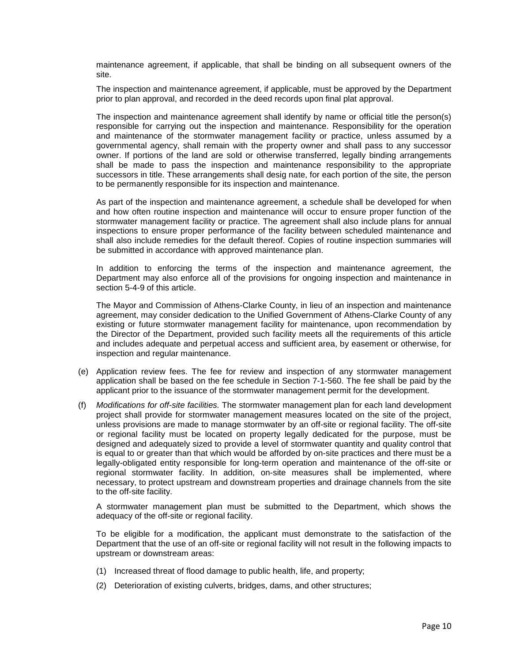maintenance agreement, if applicable, that shall be binding on all subsequent owners of the site.

The inspection and maintenance agreement, if applicable, must be approved by the Department prior to plan approval, and recorded in the deed records upon final plat approval.

The inspection and maintenance agreement shall identify by name or official title the person(s) responsible for carrying out the inspection and maintenance. Responsibility for the operation and maintenance of the stormwater management facility or practice, unless assumed by a governmental agency, shall remain with the property owner and shall pass to any successor owner. If portions of the land are sold or otherwise transferred, legally binding arrangements shall be made to pass the inspection and maintenance responsibility to the appropriate successors in title. These arrangements shall desig nate, for each portion of the site, the person to be permanently responsible for its inspection and maintenance.

As part of the inspection and maintenance agreement, a schedule shall be developed for when and how often routine inspection and maintenance will occur to ensure proper function of the stormwater management facility or practice. The agreement shall also include plans for annual inspections to ensure proper performance of the facility between scheduled maintenance and shall also include remedies for the default thereof. Copies of routine inspection summaries will be submitted in accordance with approved maintenance plan.

In addition to enforcing the terms of the inspection and maintenance agreement, the Department may also enforce all of the provisions for ongoing inspection and maintenance in section 5-4-9 of this article.

The Mayor and Commission of Athens-Clarke County, in lieu of an inspection and maintenance agreement, may consider dedication to the Unified Government of Athens-Clarke County of any existing or future stormwater management facility for maintenance, upon recommendation by the Director of the Department, provided such facility meets all the requirements of this article and includes adequate and perpetual access and sufficient area, by easement or otherwise, for inspection and regular maintenance.

- (e) Application review fees. The fee for review and inspection of any stormwater management application shall be based on the fee schedule in Section 7-1-560. The fee shall be paid by the applicant prior to the issuance of the stormwater management permit for the development.
- (f) *Modifications for off-site facilities.* The stormwater management plan for each land development project shall provide for stormwater management measures located on the site of the project, unless provisions are made to manage stormwater by an off-site or regional facility. The off-site or regional facility must be located on property legally dedicated for the purpose, must be designed and adequately sized to provide a level of stormwater quantity and quality control that is equal to or greater than that which would be afforded by on-site practices and there must be a legally-obligated entity responsible for long-term operation and maintenance of the off-site or regional stormwater facility. In addition, on-site measures shall be implemented, where necessary, to protect upstream and downstream properties and drainage channels from the site to the off-site facility.

A stormwater management plan must be submitted to the Department, which shows the adequacy of the off-site or regional facility.

To be eligible for a modification, the applicant must demonstrate to the satisfaction of the Department that the use of an off-site or regional facility will not result in the following impacts to upstream or downstream areas:

- (1) Increased threat of flood damage to public health, life, and property;
- (2) Deterioration of existing culverts, bridges, dams, and other structures;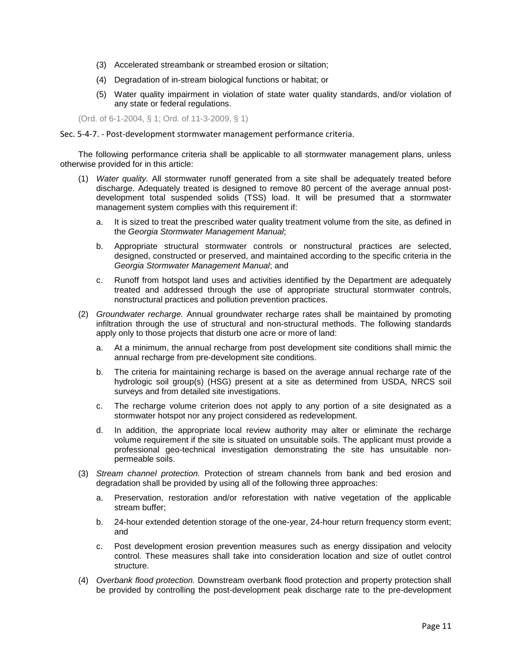- (3) Accelerated streambank or streambed erosion or siltation;
- (4) Degradation of in-stream biological functions or habitat; or
- (5) Water quality impairment in violation of state water quality standards, and/or violation of any state or federal regulations.

(Ord. of 6-1-2004, § 1; Ord. of 11-3-2009, § 1)

## Sec. 5-4-7. - Post-development stormwater management performance criteria.

The following performance criteria shall be applicable to all stormwater management plans, unless otherwise provided for in this article:

- (1) *Water quality.* All stormwater runoff generated from a site shall be adequately treated before discharge. Adequately treated is designed to remove 80 percent of the average annual postdevelopment total suspended solids (TSS) load. It will be presumed that a stormwater management system complies with this requirement if:
	- a. It is sized to treat the prescribed water quality treatment volume from the site, as defined in the *Georgia Stormwater Management Manual*;
	- b. Appropriate structural stormwater controls or nonstructural practices are selected, designed, constructed or preserved, and maintained according to the specific criteria in the *Georgia Stormwater Management Manual*; and
	- c. Runoff from hotspot land uses and activities identified by the Department are adequately treated and addressed through the use of appropriate structural stormwater controls, nonstructural practices and pollution prevention practices.
- (2) *Groundwater recharge.* Annual groundwater recharge rates shall be maintained by promoting infiltration through the use of structural and non-structural methods. The following standards apply only to those projects that disturb one acre or more of land:
	- a. At a minimum, the annual recharge from post development site conditions shall mimic the annual recharge from pre-development site conditions.
	- b. The criteria for maintaining recharge is based on the average annual recharge rate of the hydrologic soil group(s) (HSG) present at a site as determined from USDA, NRCS soil surveys and from detailed site investigations.
	- c. The recharge volume criterion does not apply to any portion of a site designated as a stormwater hotspot nor any project considered as redevelopment.
	- d. In addition, the appropriate local review authority may alter or eliminate the recharge volume requirement if the site is situated on unsuitable soils. The applicant must provide a professional geo-technical investigation demonstrating the site has unsuitable nonpermeable soils.
- (3) *Stream channel protection.* Protection of stream channels from bank and bed erosion and degradation shall be provided by using all of the following three approaches:
	- a. Preservation, restoration and/or reforestation with native vegetation of the applicable stream buffer;
	- b. 24-hour extended detention storage of the one-year, 24-hour return frequency storm event; and
	- c. Post development erosion prevention measures such as energy dissipation and velocity control. These measures shall take into consideration location and size of outlet control structure.
- (4) *Overbank flood protection.* Downstream overbank flood protection and property protection shall be provided by controlling the post-development peak discharge rate to the pre-development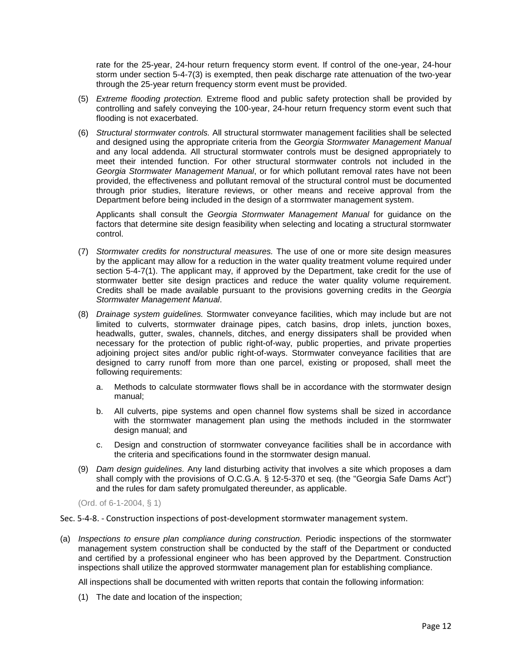rate for the 25-year, 24-hour return frequency storm event. If control of the one-year, 24-hour storm under section 5-4-7(3) is exempted, then peak discharge rate attenuation of the two-year through the 25-year return frequency storm event must be provided.

- (5) *Extreme flooding protection.* Extreme flood and public safety protection shall be provided by controlling and safely conveying the 100-year, 24-hour return frequency storm event such that flooding is not exacerbated.
- (6) *Structural stormwater controls.* All structural stormwater management facilities shall be selected and designed using the appropriate criteria from the *Georgia Stormwater Management Manual* and any local addenda. All structural stormwater controls must be designed appropriately to meet their intended function. For other structural stormwater controls not included in the *Georgia Stormwater Management Manual*, or for which pollutant removal rates have not been provided, the effectiveness and pollutant removal of the structural control must be documented through prior studies, literature reviews, or other means and receive approval from the Department before being included in the design of a stormwater management system.

Applicants shall consult the *Georgia Stormwater Management Manual* for guidance on the factors that determine site design feasibility when selecting and locating a structural stormwater control.

- (7) *Stormwater credits for nonstructural measures.* The use of one or more site design measures by the applicant may allow for a reduction in the water quality treatment volume required under section 5-4-7(1). The applicant may, if approved by the Department, take credit for the use of stormwater better site design practices and reduce the water quality volume requirement. Credits shall be made available pursuant to the provisions governing credits in the *Georgia Stormwater Management Manual*.
- (8) *Drainage system guidelines.* Stormwater conveyance facilities, which may include but are not limited to culverts, stormwater drainage pipes, catch basins, drop inlets, junction boxes, headwalls, gutter, swales, channels, ditches, and energy dissipaters shall be provided when necessary for the protection of public right-of-way, public properties, and private properties adjoining project sites and/or public right-of-ways. Stormwater conveyance facilities that are designed to carry runoff from more than one parcel, existing or proposed, shall meet the following requirements:
	- a. Methods to calculate stormwater flows shall be in accordance with the stormwater design manual;
	- b. All culverts, pipe systems and open channel flow systems shall be sized in accordance with the stormwater management plan using the methods included in the stormwater design manual; and
	- c. Design and construction of stormwater conveyance facilities shall be in accordance with the criteria and specifications found in the stormwater design manual.
- (9) *Dam design guidelines.* Any land disturbing activity that involves a site which proposes a dam shall comply with the provisions of O.C.G.A. § 12-5-370 et seq. (the "Georgia Safe Dams Act") and the rules for dam safety promulgated thereunder, as applicable.

(Ord. of 6-1-2004, § 1)

Sec. 5-4-8. - Construction inspections of post-development stormwater management system.

(a) *Inspections to ensure plan compliance during construction.* Periodic inspections of the stormwater management system construction shall be conducted by the staff of the Department or conducted and certified by a professional engineer who has been approved by the Department. Construction inspections shall utilize the approved stormwater management plan for establishing compliance.

All inspections shall be documented with written reports that contain the following information:

(1) The date and location of the inspection;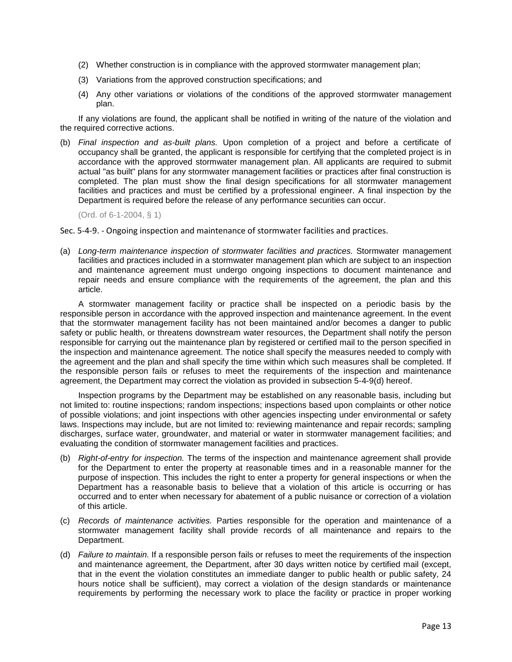- (2) Whether construction is in compliance with the approved stormwater management plan;
- (3) Variations from the approved construction specifications; and
- (4) Any other variations or violations of the conditions of the approved stormwater management plan.

If any violations are found, the applicant shall be notified in writing of the nature of the violation and the required corrective actions.

(b) *Final inspection and as-built plans.* Upon completion of a project and before a certificate of occupancy shall be granted, the applicant is responsible for certifying that the completed project is in accordance with the approved stormwater management plan. All applicants are required to submit actual "as built" plans for any stormwater management facilities or practices after final construction is completed. The plan must show the final design specifications for all stormwater management facilities and practices and must be certified by a professional engineer. A final inspection by the Department is required before the release of any performance securities can occur.

(Ord. of 6-1-2004, § 1)

Sec. 5-4-9. - Ongoing inspection and maintenance of stormwater facilities and practices.

(a) *Long-term maintenance inspection of stormwater facilities and practices.* Stormwater management facilities and practices included in a stormwater management plan which are subject to an inspection and maintenance agreement must undergo ongoing inspections to document maintenance and repair needs and ensure compliance with the requirements of the agreement, the plan and this article.

A stormwater management facility or practice shall be inspected on a periodic basis by the responsible person in accordance with the approved inspection and maintenance agreement. In the event that the stormwater management facility has not been maintained and/or becomes a danger to public safety or public health, or threatens downstream water resources, the Department shall notify the person responsible for carrying out the maintenance plan by registered or certified mail to the person specified in the inspection and maintenance agreement. The notice shall specify the measures needed to comply with the agreement and the plan and shall specify the time within which such measures shall be completed. If the responsible person fails or refuses to meet the requirements of the inspection and maintenance agreement, the Department may correct the violation as provided in subsection 5-4-9(d) hereof.

Inspection programs by the Department may be established on any reasonable basis, including but not limited to: routine inspections; random inspections; inspections based upon complaints or other notice of possible violations; and joint inspections with other agencies inspecting under environmental or safety laws. Inspections may include, but are not limited to: reviewing maintenance and repair records; sampling discharges, surface water, groundwater, and material or water in stormwater management facilities; and evaluating the condition of stormwater management facilities and practices.

- (b) *Right-of-entry for inspection.* The terms of the inspection and maintenance agreement shall provide for the Department to enter the property at reasonable times and in a reasonable manner for the purpose of inspection. This includes the right to enter a property for general inspections or when the Department has a reasonable basis to believe that a violation of this article is occurring or has occurred and to enter when necessary for abatement of a public nuisance or correction of a violation of this article.
- (c) *Records of maintenance activities.* Parties responsible for the operation and maintenance of a stormwater management facility shall provide records of all maintenance and repairs to the Department.
- (d) *Failure to maintain.* If a responsible person fails or refuses to meet the requirements of the inspection and maintenance agreement, the Department, after 30 days written notice by certified mail (except, that in the event the violation constitutes an immediate danger to public health or public safety, 24 hours notice shall be sufficient), may correct a violation of the design standards or maintenance requirements by performing the necessary work to place the facility or practice in proper working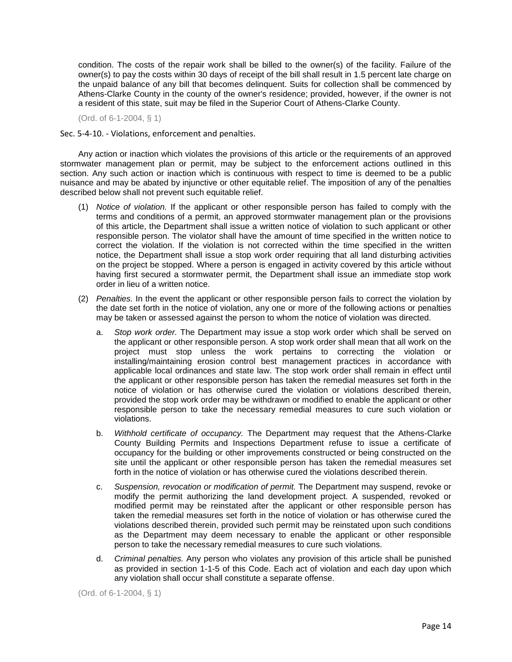condition. The costs of the repair work shall be billed to the owner(s) of the facility. Failure of the owner(s) to pay the costs within 30 days of receipt of the bill shall result in 1.5 percent late charge on the unpaid balance of any bill that becomes delinquent. Suits for collection shall be commenced by Athens-Clarke County in the county of the owner's residence; provided, however, if the owner is not a resident of this state, suit may be filed in the Superior Court of Athens-Clarke County.

(Ord. of 6-1-2004, § 1)

Sec. 5-4-10. - Violations, enforcement and penalties.

Any action or inaction which violates the provisions of this article or the requirements of an approved stormwater management plan or permit, may be subject to the enforcement actions outlined in this section. Any such action or inaction which is continuous with respect to time is deemed to be a public nuisance and may be abated by injunctive or other equitable relief. The imposition of any of the penalties described below shall not prevent such equitable relief.

- (1) *Notice of violation.* If the applicant or other responsible person has failed to comply with the terms and conditions of a permit, an approved stormwater management plan or the provisions of this article, the Department shall issue a written notice of violation to such applicant or other responsible person. The violator shall have the amount of time specified in the written notice to correct the violation. If the violation is not corrected within the time specified in the written notice, the Department shall issue a stop work order requiring that all land disturbing activities on the project be stopped. Where a person is engaged in activity covered by this article without having first secured a stormwater permit, the Department shall issue an immediate stop work order in lieu of a written notice.
- (2) *Penalties.* In the event the applicant or other responsible person fails to correct the violation by the date set forth in the notice of violation, any one or more of the following actions or penalties may be taken or assessed against the person to whom the notice of violation was directed.
	- a. *Stop work order.* The Department may issue a stop work order which shall be served on the applicant or other responsible person. A stop work order shall mean that all work on the project must stop unless the work pertains to correcting the violation or installing/maintaining erosion control best management practices in accordance with applicable local ordinances and state law. The stop work order shall remain in effect until the applicant or other responsible person has taken the remedial measures set forth in the notice of violation or has otherwise cured the violation or violations described therein, provided the stop work order may be withdrawn or modified to enable the applicant or other responsible person to take the necessary remedial measures to cure such violation or violations.
	- b. *Withhold certificate of occupancy.* The Department may request that the Athens-Clarke County Building Permits and Inspections Department refuse to issue a certificate of occupancy for the building or other improvements constructed or being constructed on the site until the applicant or other responsible person has taken the remedial measures set forth in the notice of violation or has otherwise cured the violations described therein.
	- c. *Suspension, revocation or modification of permit.* The Department may suspend, revoke or modify the permit authorizing the land development project. A suspended, revoked or modified permit may be reinstated after the applicant or other responsible person has taken the remedial measures set forth in the notice of violation or has otherwise cured the violations described therein, provided such permit may be reinstated upon such conditions as the Department may deem necessary to enable the applicant or other responsible person to take the necessary remedial measures to cure such violations.
	- d. *Criminal penalties.* Any person who violates any provision of this article shall be punished as provided in section 1-1-5 of this Code. Each act of violation and each day upon which any violation shall occur shall constitute a separate offense.

(Ord. of 6-1-2004, § 1)